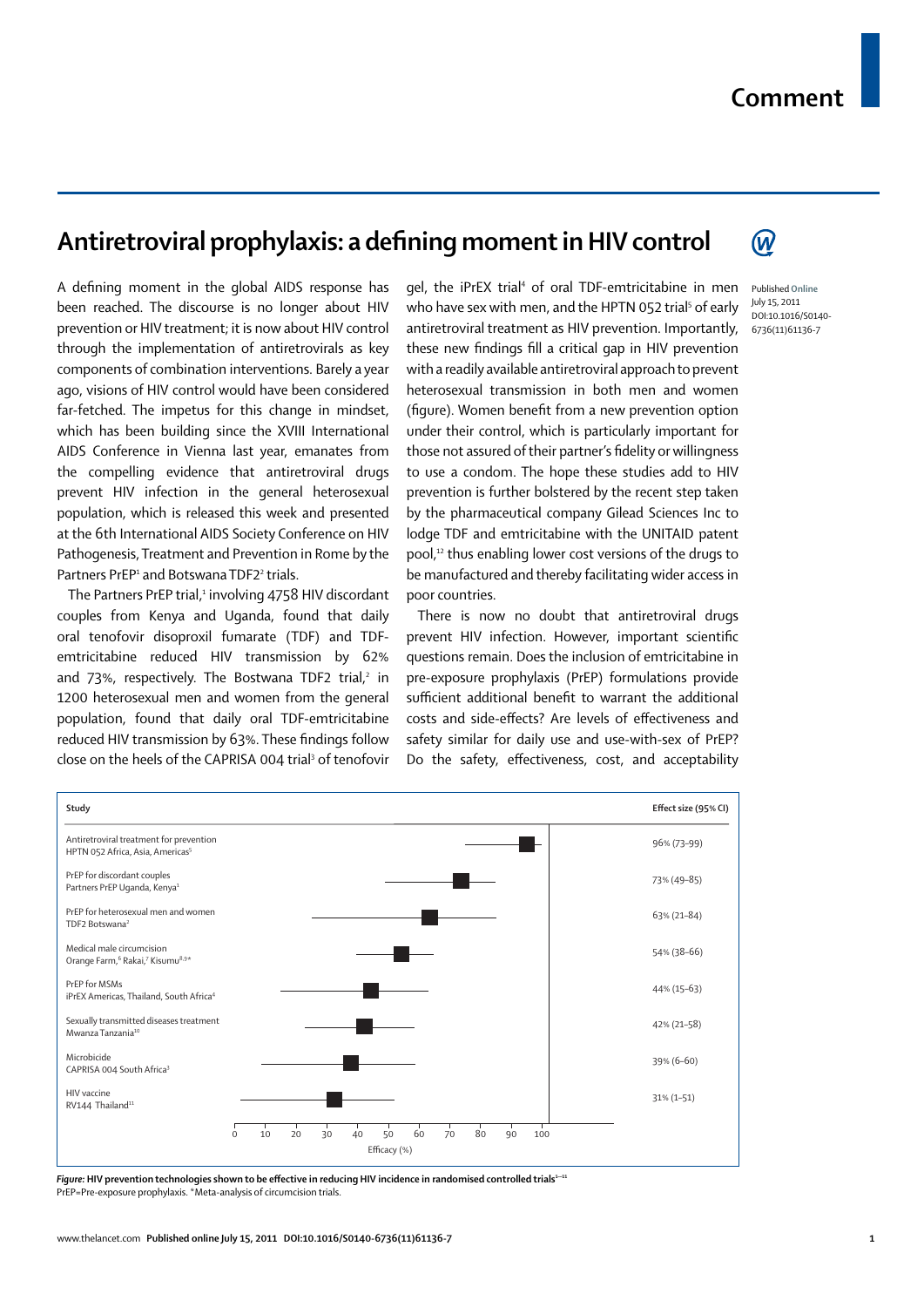## Antiretroviral prophylaxis: a defining moment in HIV control

A defining moment in the global AIDS response has been reached. The discourse is no longer about HIV prevention or HIV treatment; it is now about HIV control through the implementation of antiretrovirals as key components of combination interventions. Barely a year ago, visions of HIV control would have been considered far-fetched. The impetus for this change in mindset, which has been building since the XVIII International AIDS Conference in Vienna last year, emanates from the compelling evidence that antiretroviral drugs prevent HIV infection in the general heterosexual population, which is released this week and presented at the 6th International AIDS Society Conference on HIV Pathogenesis, Treatment and Prevention in Rome by the Partners PrEP<sup>1</sup> and Botswana TDF2<sup>2</sup> trials.

The Partners PrEP trial,<sup>1</sup> involving 4758 HIV discordant couples from Kenya and Uganda, found that daily oral tenofovir disoproxil fumarate (TDF) and TDFemtricitabine reduced HIV transmission by 62% and 73%, respectively. The Bostwana TDF2 trial, $2$  in 1200 heterosexual men and women from the general population, found that daily oral TDF-emtricitabine reduced HIV transmission by 63%. These findings follow close on the heels of the CAPRISA 004 trial<sup>3</sup> of tenofovir

gel, the iPrEX trial<sup>4</sup> of oral TDF-emtricitabine in men who have sex with men, and the HPTN 052 trial<sup>5</sup> of early antiretroviral treatment as HIV prevention. Importantly, these new findings fill a critical gap in HIV prevention with a readily available antiretroviral approach to prevent heterosexual transmission in both men and women (figure). Women benefit from a new prevention option under their control, which is particularly important for those not assured of their partner's fidelity or willingness to use a condom. The hope these studies add to HIV prevention is further bolstered by the recent step taken by the pharmaceutical company Gilead Sciences Inc to lodge TDF and emtricitabine with the UNITAID patent pool,12 thus enabling lower cost versions of the drugs to be manufactured and thereby facilitating wider access in poor countries.

There is now no doubt that antiretroviral drugs prevent HIV infection. However, important scientific questions remain. Does the inclusion of emtricitabine in pre-exposure prophylaxis (PrEP) formulations provide sufficient additional benefit to warrant the additional costs and side-effects? Are levels of effectiveness and safety similar for daily use and use-with-sex of PrEP? Do the safety, effectiveness, cost, and acceptability



*Figure:* HIV prevention technologies shown to be effective in reducing HIV incidence in randomised controlled trials<sup>1-11</sup> PrEP=Pre-exposure prophylaxis. \*Meta-analysis of circumcision trials.

Published **Online** July 15, 2011 DOI:10.1016/S0140- 6736(11)61136-7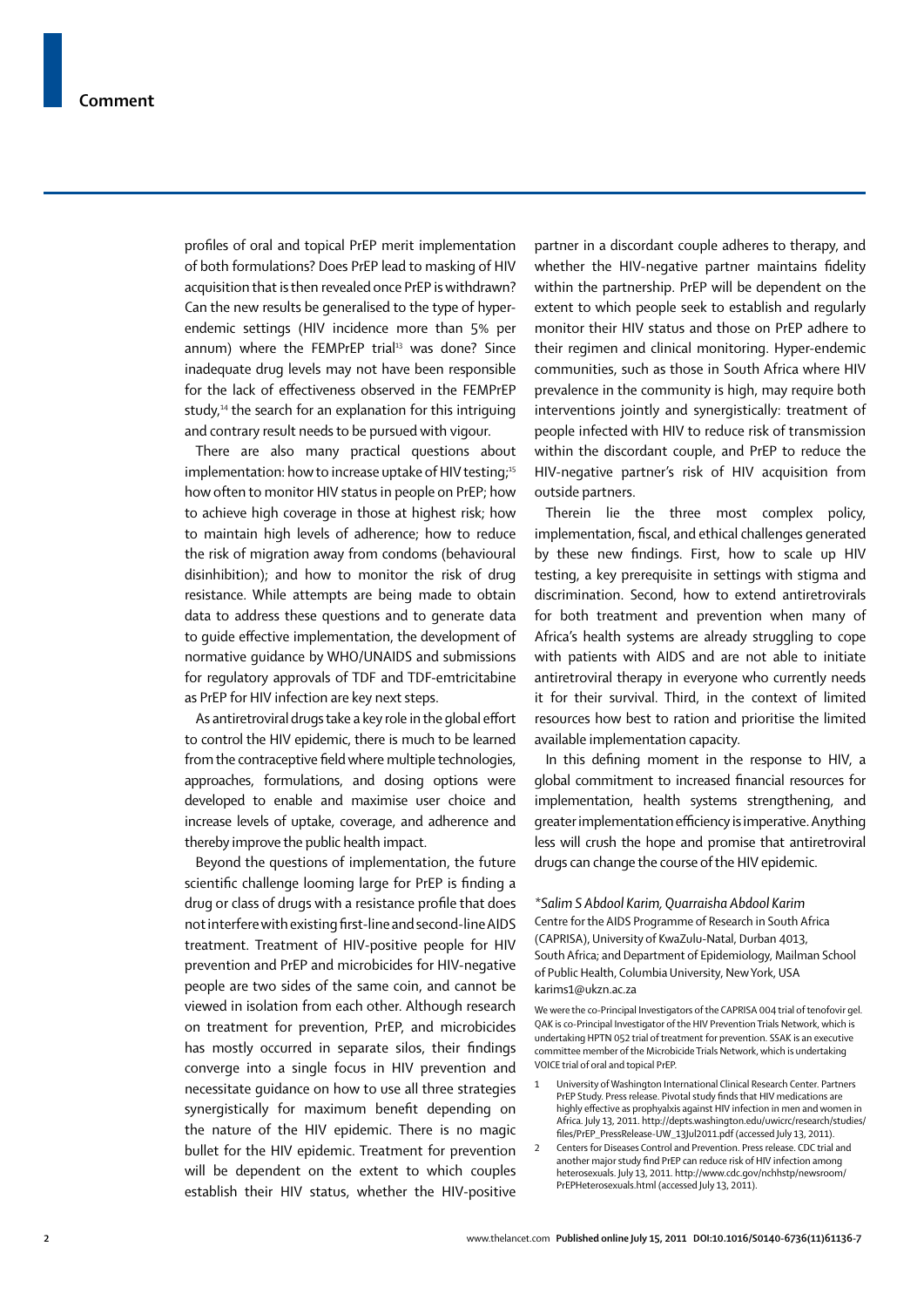profiles of oral and topical PrEP merit implementation of both formulations? Does PrEP lead to masking of HIV acquisition that is then revealed once PrEP is withdrawn? Can the new results be generalised to the type of hyperendemic settings (HIV incidence more than 5% per annum) where the FEMPrEP trial $13$  was done? Since inadequate drug levels may not have been responsible for the lack of effectiveness observed in the FEMPrEP study, $14$  the search for an explanation for this intriguing and contrary result needs to be pursued with vigour.

There are also many practical questions about implementation: how to increase uptake of HIV testing; $^{15}$ how often to monitor HIV status in people on PrEP; how to achieve high coverage in those at highest risk; how to maintain high levels of adherence; how to reduce the risk of migration away from condoms (behavioural disinhibition); and how to monitor the risk of drug resistance. While attempts are being made to obtain data to address these questions and to generate data to quide effective implementation, the development of normative guidance by WHO/UNAIDS and submissions for regulatory approvals of TDF and TDF-emtricitabine as PrEP for HIV infection are key next steps.

As antiretroviral drugs take a key role in the global effort to control the HIV epidemic, there is much to be learned from the contraceptive field where multiple technologies, approaches, formulations, and dosing options were developed to enable and maximise user choice and increase levels of uptake, coverage, and adherence and thereby improve the public health impact.

Beyond the questions of implementation, the future scientific challenge looming large for PrEP is finding a drug or class of drugs with a resistance profile that does not interfere with existing first-line and second-line AIDS treatment. Treatment of HIV-positive people for HIV prevention and PrEP and microbicides for HIV-negative people are two sides of the same coin, and cannot be viewed in isolation from each other. Although research on treatment for prevention, PrEP, and microbicides has mostly occurred in separate silos, their findings converge into a single focus in HIV prevention and necessitate guidance on how to use all three strategies synergistically for maximum benefit depending on the nature of the HIV epidemic. There is no magic bullet for the HIV epidemic. Treatment for prevention will be dependent on the extent to which couples establish their HIV status, whether the HIV-positive partner in a discordant couple adheres to therapy, and whether the HIV-negative partner maintains fidelity within the partnership. PrEP will be dependent on the extent to which people seek to establish and regularly monitor their HIV status and those on PrEP adhere to their regimen and clinical monitoring. Hyper-endemic communities, such as those in South Africa where HIV prevalence in the community is high, may require both interventions jointly and synergistically: treatment of people infected with HIV to reduce risk of transmission within the discordant couple, and PrEP to reduce the HIV-negative partner's risk of HIV acquisition from outside partners.

Therein lie the three most complex policy, implementation, fiscal, and ethical challenges generated by these new findings. First, how to scale up HIV testing, a key prerequisite in settings with stigma and discrimination. Second, how to extend antiretrovirals for both treatment and prevention when many of Africa's health systems are already struggling to cope with patients with AIDS and are not able to initiate antiretroviral therapy in everyone who currently needs it for their survival. Third, in the context of limited resources how best to ration and prioritise the limited available implementation capacity.

In this defining moment in the response to HIV, a global commitment to increased financial resources for implementation, health systems strengthening, and greater implementation efficiency is imperative. Anything less will crush the hope and promise that antiretroviral drugs can change the course of the HIV epidemic.

*\*Salim S Abdool Karim, Quarraisha Abdool Karim* Centre for the AIDS Programme of Research in South Africa (CAPRISA), University of KwaZulu-Natal, Durban 4013, South Africa; and Department of Epidemiology, Mailman School of Public Health, Columbia University, New York, USA karims1@ukzn.ac.za

We were the co-Principal Investigators of the CAPRISA 004 trial of tenofovir gel. QAK is co-Principal Investigator of the HIV Prevention Trials Network, which is undertaking HPTN 052 trial of treatment for prevention. SSAK is an executive committee member of the Microbicide Trials Network, which is undertaking VOICE trial of oral and topical PrEP.

- 1 University of Washington International Clinical Research Center. Partners PrEP Study. Press release. Pivotal study finds that HIV medications are highly effective as prophyalxis against HIV infection in men and women in Africa. July 13, 2011. http://depts.washington.edu/uwicrc/research/studies/ files/PrEP\_PressRelease-UW\_13Jul2011.pdf (accessed July 13, 2011).
- 2 Centers for Diseases Control and Prevention. Press release. CDC trial and another major study find PrEP can reduce risk of HIV infection among heterosexuals. July 13, 2011. http://www.cdc.gov/nchhstp/newsroom/ PrEPHeterosexuals.html (accessed July 13, 2011).